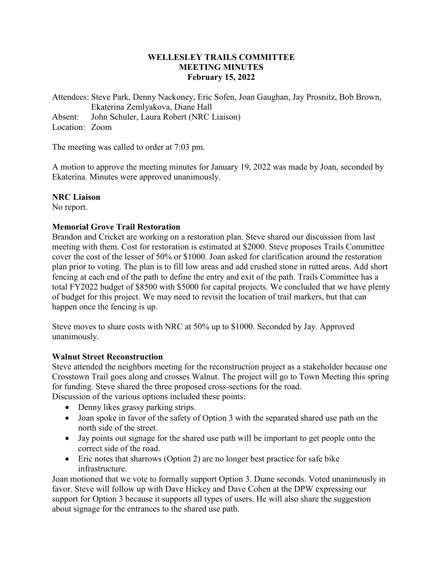# **WELLESLEY TRAILS COMMITTEE MEETING MINUTES February 15, 2022**

Attendees: Steve Park, Denny Nackoney, Eric Sofen, Joan Gaughan, Jay Prosnitz, Bob Brown, Ekaterina Zemlyakova, Diane Hall Absent: John Schuler, Laura Robert (NRC Liaison) Location: Zoom

The meeting was called to order at 7:03 pm.

A motion to approve the meeting minutes for January 19, 2022 was made by Joan, seconded by Ekaterina. Minutes were approved unanimously.

#### **NRC Liaison**

No report.

#### **Memorial Grove Trail Restoration**

Brandon and Cricket are working on a restoration plan. Steve shared our discussion from last meeting with them. Cost for restoration is estimated at \$2000. Steve proposes Trails Committee cover the cost of the lesser of 50% or \$1000. Joan asked for clarification around the restoration plan prior to voting. The plan is to fill low areas and add crushed stone in rutted areas. Add short fencing at each end of the path to define the entry and exit of the path. Trails Committee has a total FY2022 budget of \$8500 with \$5000 for capital projects. We concluded that we have plenty of budget for this project. We may need to revisit the location of trail markers, but that can happen once the fencing is up.

Steve moves to share costs with NRC at 50% up to \$1000. Seconded by Jay. Approved unanimously.

#### **Walnut Street Reconstruction**

Steve attended the neighbors meeting for the reconstruction project as a stakeholder because one Crosstown Trail goes along and crosses Walnut. The project will go to Town Meeting this spring for funding. Steve shared the three proposed cross-sections for the road.

Discussion of the various options included these points:

- Denny likes grassy parking strips.
- Joan spoke in favor of the safety of Option 3 with the separated shared use path on the north side of the street.
- Jay points out signage for the shared use path will be important to get people onto the correct side of the road.
- Eric notes that sharrows (Option 2) are no longer best practice for safe bike infrastructure.

Joan motioned that we vote to formally support Option 3. Diane seconds. Voted unanimously in favor. Steve will follow up with Dave Hickey and Dave Cohen at the DPW expressing our support for Option 3 because it supports all types of users. He will also share the suggestion about signage for the entrances to the shared use path.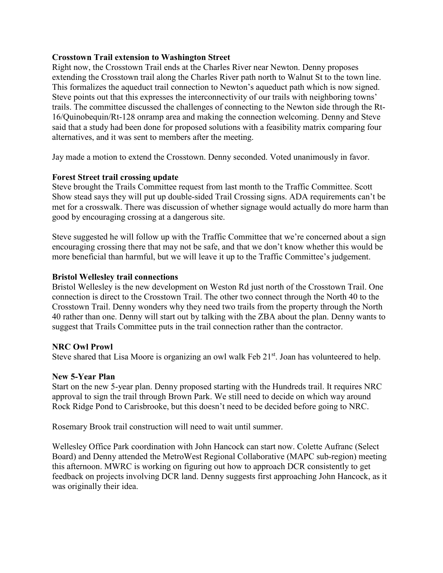## **Crosstown Trail extension to Washington Street**

Right now, the Crosstown Trail ends at the Charles River near Newton. Denny proposes extending the Crosstown trail along the Charles River path north to Walnut St to the town line. This formalizes the aqueduct trail connection to Newton's aqueduct path which is now signed. Steve points out that this expresses the interconnectivity of our trails with neighboring towns' trails. The committee discussed the challenges of connecting to the Newton side through the Rt-16/Quinobequin/Rt-128 onramp area and making the connection welcoming. Denny and Steve said that a study had been done for proposed solutions with a feasibility matrix comparing four alternatives, and it was sent to members after the meeting.

Jay made a motion to extend the Crosstown. Denny seconded. Voted unanimously in favor.

# **Forest Street trail crossing update**

Steve brought the Trails Committee request from last month to the Traffic Committee. Scott Show stead says they will put up double-sided Trail Crossing signs. ADA requirements can't be met for a crosswalk. There was discussion of whether signage would actually do more harm than good by encouraging crossing at a dangerous site.

Steve suggested he will follow up with the Traffic Committee that we're concerned about a sign encouraging crossing there that may not be safe, and that we don't know whether this would be more beneficial than harmful, but we will leave it up to the Traffic Committee's judgement.

#### **Bristol Wellesley trail connections**

Bristol Wellesley is the new development on Weston Rd just north of the Crosstown Trail. One connection is direct to the Crosstown Trail. The other two connect through the North 40 to the Crosstown Trail. Denny wonders why they need two trails from the property through the North 40 rather than one. Denny will start out by talking with the ZBA about the plan. Denny wants to suggest that Trails Committee puts in the trail connection rather than the contractor.

#### **NRC Owl Prowl**

Steve shared that Lisa Moore is organizing an owl walk Feb  $21<sup>st</sup>$ . Joan has volunteered to help.

#### **New 5-Year Plan**

Start on the new 5-year plan. Denny proposed starting with the Hundreds trail. It requires NRC approval to sign the trail through Brown Park. We still need to decide on which way around Rock Ridge Pond to Carisbrooke, but this doesn't need to be decided before going to NRC.

Rosemary Brook trail construction will need to wait until summer.

Wellesley Office Park coordination with John Hancock can start now. Colette Aufranc (Select Board) and Denny attended the MetroWest Regional Collaborative (MAPC sub-region) meeting this afternoon. MWRC is working on figuring out how to approach DCR consistently to get feedback on projects involving DCR land. Denny suggests first approaching John Hancock, as it was originally their idea.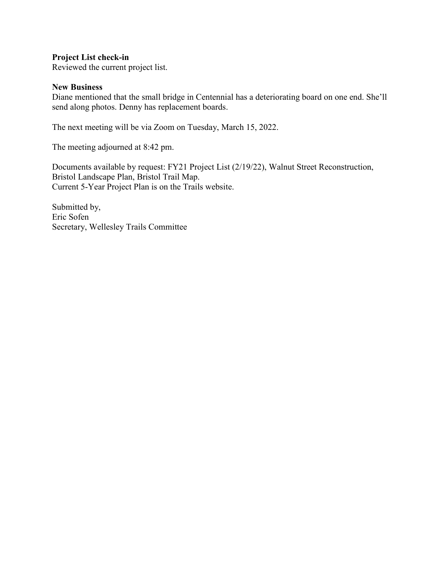**Project List check-in**

Reviewed the current project list.

#### **New Business**

Diane mentioned that the small bridge in Centennial has a deteriorating board on one end. She'll send along photos. Denny has replacement boards.

The next meeting will be via Zoom on Tuesday, March 15, 2022.

The meeting adjourned at 8:42 pm.

Documents available by request: FY21 Project List (2/19/22), Walnut Street Reconstruction, Bristol Landscape Plan, Bristol Trail Map. Current 5-Year Project Plan is on the Trails website.

Submitted by, Eric Sofen Secretary, Wellesley Trails Committee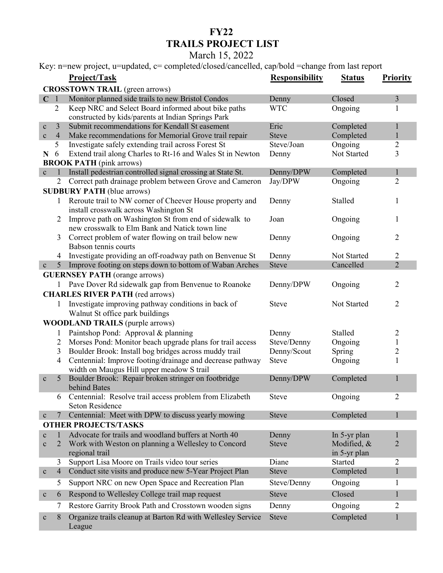# **FY22 TRAILS PROJECT LIST**

# March 15, 2022

Key: n=new project, u=updated, c= completed/closed/cancelled, cap/bold =change from last report

|                                            |                 | $\mathbf{r}_i$ , if now project, a apaarca, c compreted crosed cancelled, eap oble change from has report |                       |                             |                   |  |  |  |
|--------------------------------------------|-----------------|-----------------------------------------------------------------------------------------------------------|-----------------------|-----------------------------|-------------------|--|--|--|
|                                            |                 | Project/Task                                                                                              | <b>Responsibility</b> | <b>Status</b>               | <b>Priority</b>   |  |  |  |
| <b>CROSSTOWN TRAIL</b> (green arrows)      |                 |                                                                                                           |                       |                             |                   |  |  |  |
| C <sub>1</sub>                             |                 | Monitor planned side trails to new Bristol Condos                                                         | Denny                 | Closed                      | 3                 |  |  |  |
|                                            | $\overline{2}$  | Keep NRC and Select Board informed about bike paths                                                       | <b>WTC</b>            | Ongoing                     | 1                 |  |  |  |
|                                            |                 | constructed by kids/parents at Indian Springs Park                                                        |                       |                             |                   |  |  |  |
| $\mathbf c$                                | 3               | Submit recommendations for Kendall St easement                                                            | Eric                  | Completed                   | 1                 |  |  |  |
| $\mathbf c$                                | $\overline{4}$  | Make recommendations for Memorial Grove trail repair                                                      | <b>Steve</b>          | Completed                   | $\mathbf{1}$      |  |  |  |
|                                            | 5               | Investigate safely extending trail across Forest St                                                       | Steve/Joan            | Ongoing                     | $\overline{2}$    |  |  |  |
| N                                          | 6               | Extend trail along Charles to Rt-16 and Wales St in Newton                                                | Denny                 | Not Started                 | 3                 |  |  |  |
| <b>BROOK PATH</b> (pink arrows)            |                 |                                                                                                           |                       |                             |                   |  |  |  |
| $\mathbf c$                                | 1               | Install pedestrian controlled signal crossing at State St.                                                | Denny/DPW             | Completed                   |                   |  |  |  |
|                                            | $\overline{2}$  | Correct path drainage problem between Grove and Cameron                                                   | Jay/DPW               | Ongoing                     | $\overline{2}$    |  |  |  |
|                                            |                 | <b>SUDBURY PATH</b> (blue arrows)                                                                         |                       |                             |                   |  |  |  |
|                                            | $\mathbf{1}$    | Reroute trail to NW corner of Cheever House property and                                                  | Denny                 | Stalled                     | 1                 |  |  |  |
|                                            |                 | install crosswalk across Washington St                                                                    |                       |                             |                   |  |  |  |
|                                            | 2               | Improve path on Washington St from end of sidewalk to                                                     | Joan                  | Ongoing                     | 1                 |  |  |  |
|                                            |                 | new crosswalk to Elm Bank and Natick town line                                                            |                       |                             |                   |  |  |  |
|                                            | 3               | Correct problem of water flowing on trail below new                                                       | Denny                 | Ongoing                     | $\overline{2}$    |  |  |  |
|                                            |                 | Babson tennis courts                                                                                      |                       |                             |                   |  |  |  |
|                                            | 4               | Investigate providing an off-roadway path on Benvenue St                                                  | Denny                 | Not Started                 | 2                 |  |  |  |
| $\mathbf c$                                | $5\overline{)}$ | Improve footing on steps down to bottom of Waban Arches                                                   | <b>Steve</b>          | Cancelled                   | $\overline{2}$    |  |  |  |
|                                            |                 | <b>GUERNSEY PATH</b> (orange arrows)                                                                      |                       |                             |                   |  |  |  |
|                                            |                 | Pave Dover Rd sidewalk gap from Benvenue to Roanoke                                                       | Denny/DPW             | Ongoing                     | 2                 |  |  |  |
|                                            |                 | <b>CHARLES RIVER PATH (red arrows)</b>                                                                    |                       |                             |                   |  |  |  |
|                                            | 1               | Investigate improving pathway conditions in back of                                                       | <b>Steve</b>          | Not Started                 | 2                 |  |  |  |
|                                            |                 | Walnut St office park buildings                                                                           |                       |                             |                   |  |  |  |
| <b>WOODLAND TRAILS (purple arrows)</b>     |                 |                                                                                                           |                       |                             |                   |  |  |  |
|                                            | 1               | Paintshop Pond: Approval & planning                                                                       | Denny                 | Stalled                     |                   |  |  |  |
|                                            | $\overline{2}$  | Morses Pond: Monitor beach upgrade plans for trail access                                                 | Steve/Denny           | Ongoing                     | 2<br>$\mathbf{1}$ |  |  |  |
|                                            | 3               | Boulder Brook: Install bog bridges across muddy trail                                                     | Denny/Scout           | Spring                      | 2                 |  |  |  |
|                                            | $\overline{4}$  | Centennial: Improve footing/drainage and decrease pathway                                                 | <b>Steve</b>          | Ongoing                     | 1                 |  |  |  |
|                                            |                 | width on Maugus Hill upper meadow S trail                                                                 |                       |                             |                   |  |  |  |
| $\mathbf{C}$                               | 5               | Boulder Brook: Repair broken stringer on footbridge                                                       | Denny/DPW             | Completed                   | 1                 |  |  |  |
|                                            |                 | behind Bates                                                                                              |                       |                             |                   |  |  |  |
|                                            | 6               | Centennial: Resolve trail access problem from Elizabeth                                                   | <b>Steve</b>          | Ongoing                     | 2                 |  |  |  |
|                                            |                 | Seton Residence                                                                                           |                       |                             |                   |  |  |  |
|                                            | 7               | Centennial: Meet with DPW to discuss yearly mowing                                                        | <b>Steve</b>          | Completed                   |                   |  |  |  |
| $\mathbf c$<br><b>OTHER PROJECTS/TASKS</b> |                 |                                                                                                           |                       |                             |                   |  |  |  |
|                                            | 1               | Advocate for trails and woodland buffers at North 40                                                      |                       |                             |                   |  |  |  |
| $\mathbf c$                                | 2               | Work with Weston on planning a Wellesley to Concord                                                       | Denny<br><b>Steve</b> | In 5-yr plan<br>Modified, & | $\overline{2}$    |  |  |  |
| $\mathbf c$                                |                 |                                                                                                           |                       |                             |                   |  |  |  |
|                                            |                 | regional trail<br>Support Lisa Moore on Trails video tour series                                          | Diane                 | in 5-yr plan<br>Started     |                   |  |  |  |
|                                            | 3               | Conduct site visits and produce new 5-Year Project Plan                                                   | <b>Steve</b>          |                             | 2                 |  |  |  |
| $\mathbf c$                                | $\overline{4}$  |                                                                                                           |                       | Completed                   | $\mathbf{1}$      |  |  |  |
|                                            | 5               | Support NRC on new Open Space and Recreation Plan                                                         | Steve/Denny           | Ongoing                     | 1                 |  |  |  |
| $\mathbf c$                                | 6               | Respond to Wellesley College trail map request                                                            | <b>Steve</b>          | Closed                      | 1                 |  |  |  |
|                                            | 7               | Restore Garrity Brook Path and Crosstown wooden signs                                                     | Denny                 | Ongoing                     | 2                 |  |  |  |
|                                            | 8               | Organize trails cleanup at Barton Rd with Wellesley Service                                               | <b>Steve</b>          | Completed                   |                   |  |  |  |
| $\mathbf c$                                |                 | League                                                                                                    |                       |                             |                   |  |  |  |